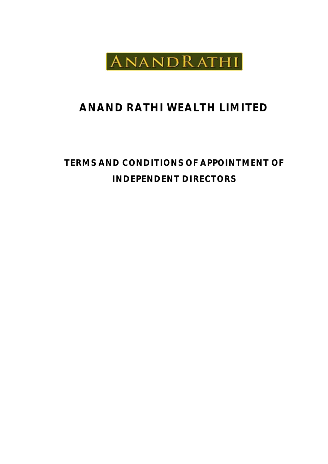

# **ANAND RATHI WEALTH LIMITED**

# **TERMS AND CONDITIONS OF APPOINTMENT OF INDEPENDENT DIRECTORS**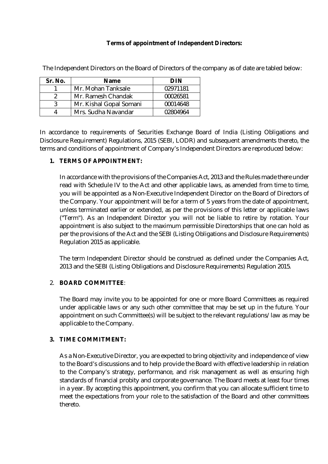#### **Terms of appointment of Independent Directors:**

| Sr. No. | <b>Name</b>             | DIN      |
|---------|-------------------------|----------|
|         | Mr. Mohan Tanksale      | 02971181 |
|         | Mr. Ramesh Chandak      | 00026581 |
|         | Mr. Kishal Gopal Somani | 00014648 |
|         | Mrs. Sudha Navandar     | 02804964 |

The Independent Directors on the Board of Directors of the company as of date are tabled below:

In accordance to requirements of Securities Exchange Board of India (Listing Obligations and Disclosure Requirement) Regulations, 2015 (SEBI, LODR) and subsequent amendments thereto, the terms and conditions of appointment of Company's Independent Directors are reproduced below:

### **1. TERMS OF APPOINTMENT:**

In accordance with the provisions of the Companies Act, 2013 and the Rules made there under read with Schedule IV to the Act and other applicable laws, as amended from time to time, you will be appointed as a Non-Executive Independent Director on the Board of Directors of the Company. Your appointment will be for a term of 5 years from the date of appointment, unless terminated earlier or extended, as per the provisions of this letter or applicable laws ("Term"). As an Independent Director you will not be liable to retire by rotation. Your appointment is also subject to the maximum permissible Directorships that one can hold as per the provisions of the Act and the SEBI (Listing Obligations and Disclosure Requirements) Regulation 2015 as applicable.

The term Independent Director should be construed as defined under the Companies Act, 2013 and the SEBI (Listing Obligations and Disclosure Requirements) Regulation 2015.

### 2. **BOARD COMMITTEE**:

The Board may invite you to be appointed for one or more Board Committees as required under applicable laws or any such other committee that may be set up in the future. Your appointment on such Committee(s) will be subject to the relevant regulations/law as may be applicable to the Company.

### **3. TIME COMMITMENT:**

As a Non-Executive Director, you are expected to bring objectivity and independence of view to the Board's discussions and to help provide the Board with effective leadership in relation to the Company's strategy, performance, and risk management as well as ensuring high standards of financial probity and corporate governance. The Board meets at least four times in a year. By accepting this appointment, you confirm that you can allocate sufficient time to meet the expectations from your role to the satisfaction of the Board and other committees thereto.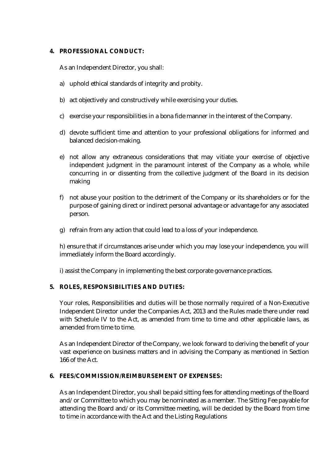#### **4. PROFESSIONAL CONDUCT:**

As an Independent Director, you shall:

- a) uphold ethical standards of integrity and probity.
- b) act objectively and constructively while exercising your duties.
- c) exercise your responsibilities in a bona fide manner in the interest of the Company.
- d) devote sufficient time and attention to your professional obligations for informed and balanced decision-making.
- e) not allow any extraneous considerations that may vitiate your exercise of objective independent judgment in the paramount interest of the Company as a whole, while concurring in or dissenting from the collective judgment of the Board in its decision making
- f) not abuse your position to the detriment of the Company or its shareholders or for the purpose of gaining direct or indirect personal advantage or advantage for any associated person.
- g) refrain from any action that could lead to a loss of your independence.

h) ensure that if circumstances arise under which you may lose your independence, you will immediately inform the Board accordingly.

i) assist the Company in implementing the best corporate governance practices.

### **5. ROLES, RESPONSIBILITIES AND DUTIES:**

Your roles, Responsibilities and duties will be those normally required of a Non-Executive Independent Director under the Companies Act, 2013 and the Rules made there under read with Schedule IV to the Act, as amended from time to time and other applicable laws, as amended from time to time.

As an Independent Director of the Company, we look forward to deriving the benefit of your vast experience on business matters and in advising the Company as mentioned in Section 166 of the Act.

### **6. FEES/COMMISSION/REIMBURSEMENT OF EXPENSES:**

As an Independent Director, you shall be paid sitting fees for attending meetings of the Board and/or Committee to which you may be nominated as a member. The Sitting Fee payable for attending the Board and/or its Committee meeting, will be decided by the Board from time to time in accordance with the Act and the Listing Regulations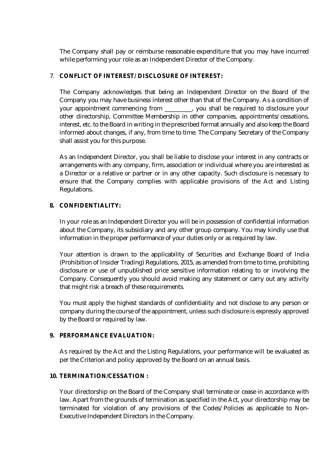The Company shall pay or reimburse reasonable expenditure that you may have incurred while performing your role as an Independent Director of the Company.

### 7. **CONFLICT OF INTEREST/ DISCLOSURE OF INTEREST:**

The Company acknowledges that being an Independent Director on the Board of the Company you may have business interest other than that of the Company. As a condition of your appointment commencing from \_\_\_\_\_\_\_\_\_, you shall be required to disclosure your other directorship, Committee Membership in other companies, appointments/cessations, interest, etc. to the Board in writing in the prescribed format annually and also keep the Board informed about changes, if any, from time to time. The Company Secretary of the Company shall assist you for this purpose.

As an Independent Director, you shall be liable to disclose your interest in any contracts or arrangements with any company, firm, association or individual where you are interested as a Director or a relative or partner or in any other capacity. Such disclosure is necessary to ensure that the Company complies with applicable provisions of the Act and Listing Regulations.

### **8. CONFIDENTIALITY:**

In your role as an Independent Director you will be in possession of confidential information about the Company, its subsidiary and any other group company. You may kindly use that information in the proper performance of your duties only or as required by law.

Your attention is drawn to the applicability of Securities and Exchange Board of India (Prohibition of Insider Trading) Regulations, 2015, as amended from time to time, prohibiting disclosure or use of unpublished price sensitive information relating to or involving the Company. Consequently you should avoid making any statement or carry out any activity that might risk a breach of these requirements.

You must apply the highest standards of confidentiality and not disclose to any person or company during the course of the appointment, unless such disclosure is expressly approved by the Board or required by law.

## **9. PERFORMANCE EVALUATION:**

As required by the Act and the Listing Regulations, your performance will be evaluated as per the Criterion and policy approved by the Board on an annual basis.

## **10. TERMINATION/CESSATION :**

Your directorship on the Board of the Company shall terminate or cease in accordance with law. Apart from the grounds of termination as specified in the Act, your directorship may be terminated for violation of any provisions of the Codes/Policies as applicable to Non-Executive Independent Directors in the Company.